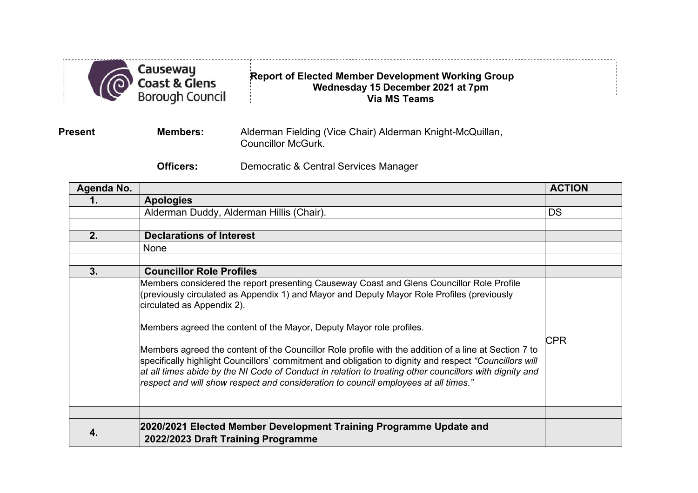

## **Report of Elected Member Development Working Group Wednesday 15 December 2021 at 7pm Via MS Teams**

**Present Members:** Alderman Fielding (Vice Chair) Alderman Knight-McQuillan, Councillor McGurk.

**Officers:** Democratic & Central Services Manager

| Agenda No. |                                                                                                                                                                                                                                                                                                                                                                                                                                                                                                                                                                                                                                                                                                                    | <b>ACTION</b> |
|------------|--------------------------------------------------------------------------------------------------------------------------------------------------------------------------------------------------------------------------------------------------------------------------------------------------------------------------------------------------------------------------------------------------------------------------------------------------------------------------------------------------------------------------------------------------------------------------------------------------------------------------------------------------------------------------------------------------------------------|---------------|
|            | <b>Apologies</b>                                                                                                                                                                                                                                                                                                                                                                                                                                                                                                                                                                                                                                                                                                   |               |
|            | Alderman Duddy, Alderman Hillis (Chair).                                                                                                                                                                                                                                                                                                                                                                                                                                                                                                                                                                                                                                                                           | DS            |
|            |                                                                                                                                                                                                                                                                                                                                                                                                                                                                                                                                                                                                                                                                                                                    |               |
| 2.         | <b>Declarations of Interest</b>                                                                                                                                                                                                                                                                                                                                                                                                                                                                                                                                                                                                                                                                                    |               |
|            | None                                                                                                                                                                                                                                                                                                                                                                                                                                                                                                                                                                                                                                                                                                               |               |
|            |                                                                                                                                                                                                                                                                                                                                                                                                                                                                                                                                                                                                                                                                                                                    |               |
| 3.         | <b>Councillor Role Profiles</b>                                                                                                                                                                                                                                                                                                                                                                                                                                                                                                                                                                                                                                                                                    |               |
|            | Members considered the report presenting Causeway Coast and Glens Councillor Role Profile<br>(previously circulated as Appendix 1) and Mayor and Deputy Mayor Role Profiles (previously<br>circulated as Appendix 2).<br>Members agreed the content of the Mayor, Deputy Mayor role profiles.<br>Members agreed the content of the Councillor Role profile with the addition of a line at Section 7 to<br>specifically highlight Councillors' commitment and obligation to dignity and respect "Councillors will<br>at all times abide by the NI Code of Conduct in relation to treating other councillors with dignity and<br>respect and will show respect and consideration to council employees at all times." | <b>CPR</b>    |
|            | 2020/2021 Elected Member Development Training Programme Update and                                                                                                                                                                                                                                                                                                                                                                                                                                                                                                                                                                                                                                                 |               |
|            | 2022/2023 Draft Training Programme                                                                                                                                                                                                                                                                                                                                                                                                                                                                                                                                                                                                                                                                                 |               |